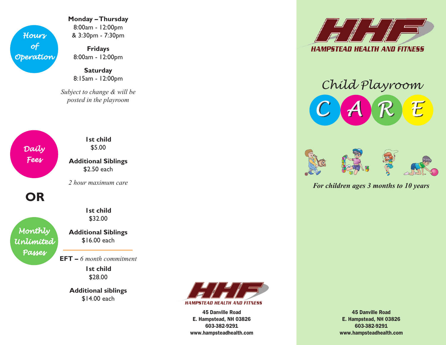

**Monday – Thursday** 8:00am - 12:00pm & 3:30pm - 7:30pm

**Fridays** 8:00am - 12:00pm

**Saturday** 8:15am - 12:00pm

*Subject to change & will be posted in the playroom*

*Daily Fees*

**1st child** \$5.00

**Additional Siblings** \$2.50 each

*2 hour maximum care*

**OR**

*Monthly Unlimited Passes*

\$32.00 **Additional Siblings**

**1st child** 

\$16.00 each

**EFT –** *6 month commitment*

**1st child** \$28.00

**Additional siblings** \$14.00 each



45 Danville Road E. Hampstead, NH 03826 603-382-9291 www.hampsteadhealth.com



## *Child Playroom*





*For children ages 3 months to 10 years*

45 Danville Road E. Hampstead, NH 03826 603-382-9291 www.hampsteadhealth.com